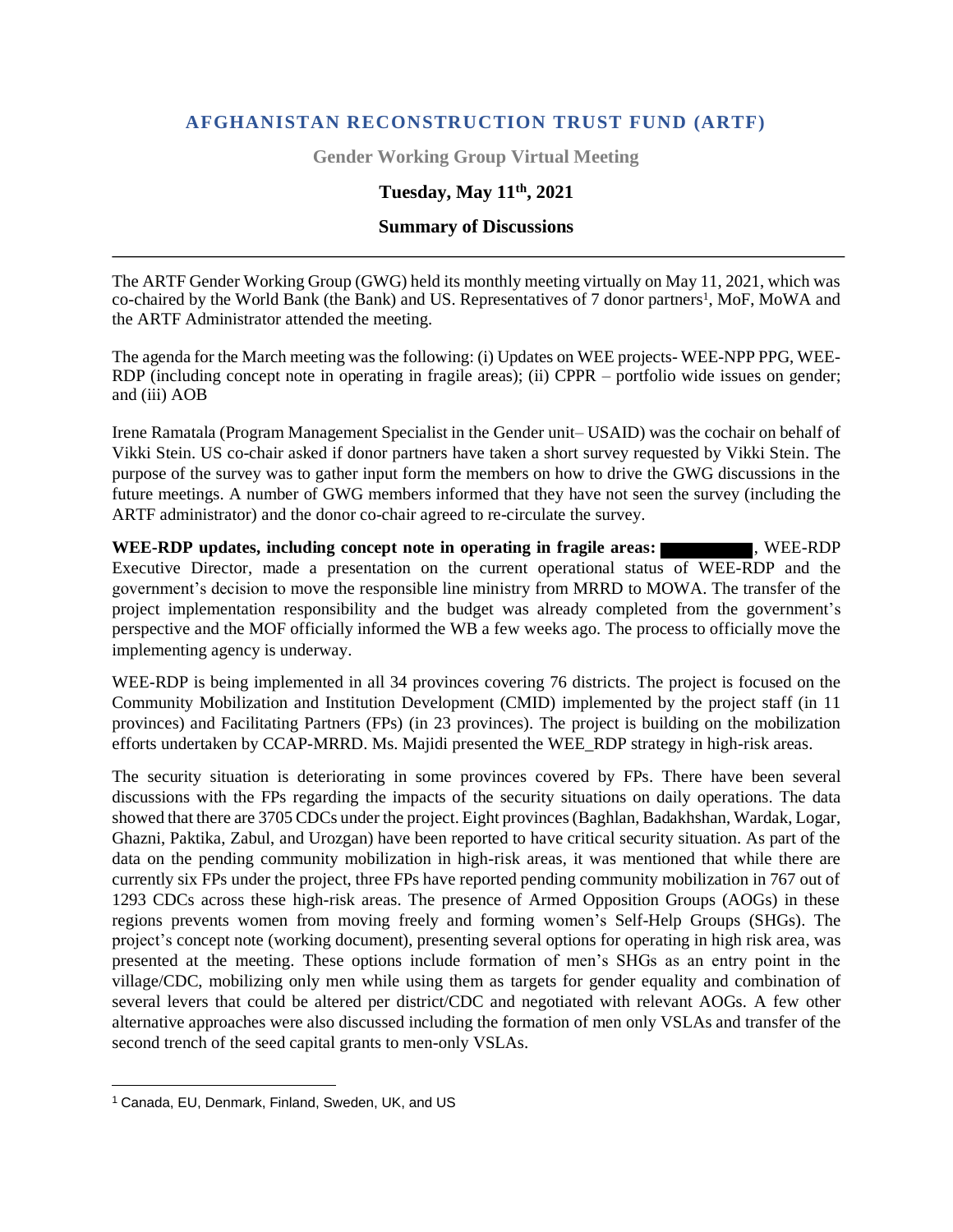## **AFGHANISTAN RECONSTRUCTION TRUST FUND (ARTF)**

**Gender Working Group Virtual Meeting**

# **Tuesday, May 11th, 2021**

#### **Summary of Discussions**

The ARTF Gender Working Group (GWG) held its monthly meeting virtually on May 11, 2021, which was co-chaired by the World Bank (the Bank) and US. Representatives of 7 donor partners<sup>1</sup>, MoF, MoWA and the ARTF Administrator attended the meeting.

The agenda for the March meeting was the following: (i) Updates on WEE projects- WEE-NPP PPG, WEE-RDP (including concept note in operating in fragile areas); (ii) CPPR – portfolio wide issues on gender; and (iii) AOB

Irene Ramatala (Program Management Specialist in the Gender unit– USAID) was the cochair on behalf of Vikki Stein. US co-chair asked if donor partners have taken a short survey requested by Vikki Stein. The purpose of the survey was to gather input form the members on how to drive the GWG discussions in the future meetings. A number of GWG members informed that they have not seen the survey (including the ARTF administrator) and the donor co-chair agreed to re-circulate the survey.

**WEE-RDP updates, including concept note in operating in fragile areas:** , WEE-RDP Executive Director, made a presentation on the current operational status of WEE-RDP and the government's decision to move the responsible line ministry from MRRD to MOWA. The transfer of the project implementation responsibility and the budget was already completed from the government's perspective and the MOF officially informed the WB a few weeks ago. The process to officially move the implementing agency is underway.

WEE-RDP is being implemented in all 34 provinces covering 76 districts. The project is focused on the Community Mobilization and Institution Development (CMID) implemented by the project staff (in 11 provinces) and Facilitating Partners (FPs) (in 23 provinces). The project is building on the mobilization efforts undertaken by CCAP-MRRD. Ms. Majidi presented the WEE\_RDP strategy in high-risk areas.

The security situation is deteriorating in some provinces covered by FPs. There have been several discussions with the FPs regarding the impacts of the security situations on daily operations. The data showed that there are 3705 CDCs under the project. Eight provinces (Baghlan, Badakhshan, Wardak, Logar, Ghazni, Paktika, Zabul, and Urozgan) have been reported to have critical security situation. As part of the data on the pending community mobilization in high-risk areas, it was mentioned that while there are currently six FPs under the project, three FPs have reported pending community mobilization in 767 out of 1293 CDCs across these high-risk areas. The presence of Armed Opposition Groups (AOGs) in these regions prevents women from moving freely and forming women's Self-Help Groups (SHGs). The project's concept note (working document), presenting several options for operating in high risk area, was presented at the meeting. These options include formation of men's SHGs as an entry point in the village/CDC, mobilizing only men while using them as targets for gender equality and combination of several levers that could be altered per district/CDC and negotiated with relevant AOGs. A few other alternative approaches were also discussed including the formation of men only VSLAs and transfer of the second trench of the seed capital grants to men-only VSLAs.

<sup>1</sup> Canada, EU, Denmark, Finland, Sweden, UK, and US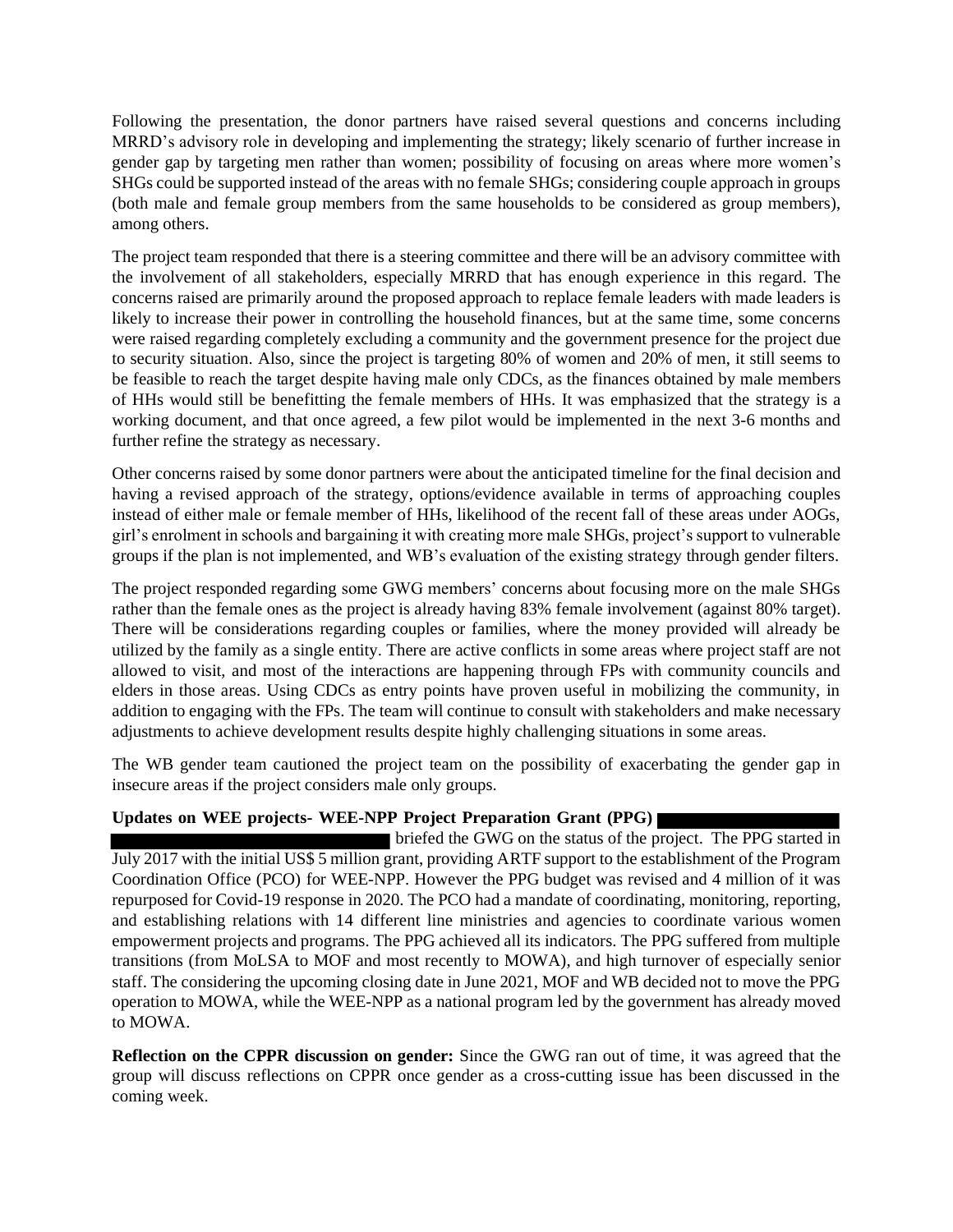Following the presentation, the donor partners have raised several questions and concerns including MRRD's advisory role in developing and implementing the strategy; likely scenario of further increase in gender gap by targeting men rather than women; possibility of focusing on areas where more women's SHGs could be supported instead of the areas with no female SHGs; considering couple approach in groups (both male and female group members from the same households to be considered as group members), among others.

The project team responded that there is a steering committee and there will be an advisory committee with the involvement of all stakeholders, especially MRRD that has enough experience in this regard. The concerns raised are primarily around the proposed approach to replace female leaders with made leaders is likely to increase their power in controlling the household finances, but at the same time, some concerns were raised regarding completely excluding a community and the government presence for the project due to security situation. Also, since the project is targeting 80% of women and 20% of men, it still seems to be feasible to reach the target despite having male only CDCs, as the finances obtained by male members of HHs would still be benefitting the female members of HHs. It was emphasized that the strategy is a working document, and that once agreed, a few pilot would be implemented in the next 3-6 months and further refine the strategy as necessary.

Other concerns raised by some donor partners were about the anticipated timeline for the final decision and having a revised approach of the strategy, options/evidence available in terms of approaching couples instead of either male or female member of HHs, likelihood of the recent fall of these areas under AOGs, girl's enrolment in schools and bargaining it with creating more male SHGs, project's support to vulnerable groups if the plan is not implemented, and WB's evaluation of the existing strategy through gender filters.

The project responded regarding some GWG members' concerns about focusing more on the male SHGs rather than the female ones as the project is already having 83% female involvement (against 80% target). There will be considerations regarding couples or families, where the money provided will already be utilized by the family as a single entity. There are active conflicts in some areas where project staff are not allowed to visit, and most of the interactions are happening through FPs with community councils and elders in those areas. Using CDCs as entry points have proven useful in mobilizing the community, in addition to engaging with the FPs. The team will continue to consult with stakeholders and make necessary adjustments to achieve development results despite highly challenging situations in some areas.

The WB gender team cautioned the project team on the possibility of exacerbating the gender gap in insecure areas if the project considers male only groups.

## **Updates on WEE projects- WEE-NPP Project Preparation Grant (PPG)**

 briefed the GWG on the status of the project. The PPG started in July 2017 with the initial US\$ 5 million grant, providing ARTF support to the establishment of the Program Coordination Office (PCO) for WEE-NPP. However the PPG budget was revised and 4 million of it was repurposed for Covid-19 response in 2020. The PCO had a mandate of coordinating, monitoring, reporting, and establishing relations with 14 different line ministries and agencies to coordinate various women empowerment projects and programs. The PPG achieved all its indicators. The PPG suffered from multiple transitions (from MoLSA to MOF and most recently to MOWA), and high turnover of especially senior staff. The considering the upcoming closing date in June 2021, MOF and WB decided not to move the PPG operation to MOWA, while the WEE-NPP as a national program led by the government has already moved to MOWA.

**Reflection on the CPPR discussion on gender:** Since the GWG ran out of time, it was agreed that the group will discuss reflections on CPPR once gender as a cross-cutting issue has been discussed in the coming week.